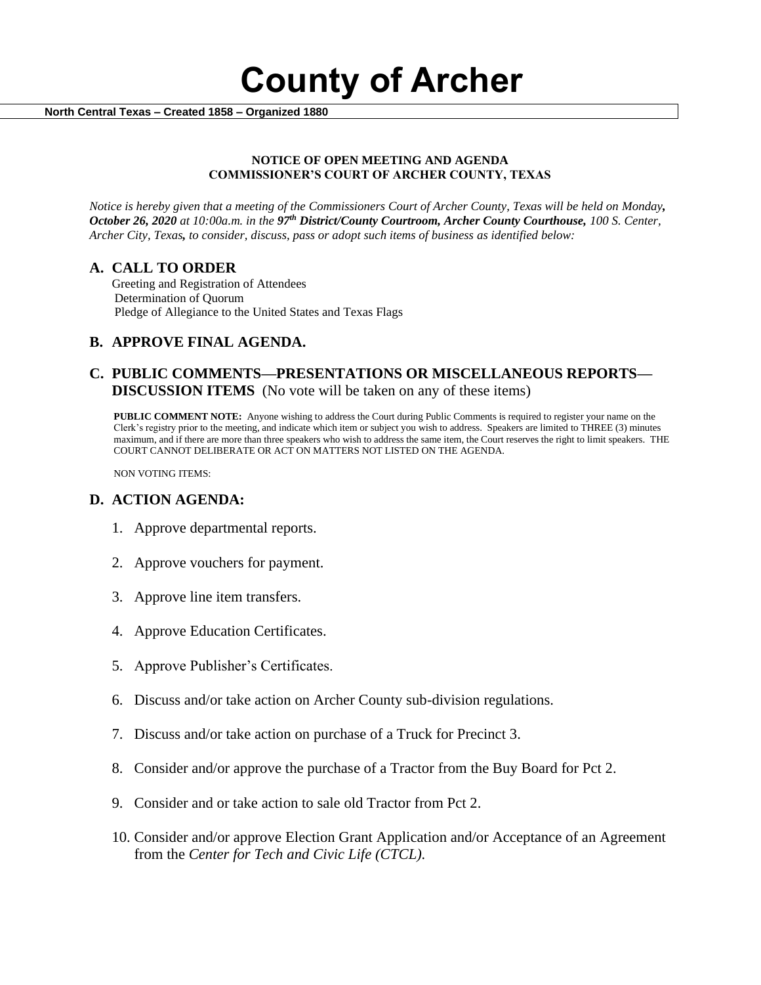**County of Archer** 

 **North Central Texas – Created 1858 – Organized 1880**

#### **NOTICE OF OPEN MEETING AND AGENDA COMMISSIONER'S COURT OF ARCHER COUNTY, TEXAS**

*Notice is hereby given that a meeting of the Commissioners Court of Archer County, Texas will be held on Monday, October 26, 2020 at 10:00a.m. in the 97th District/County Courtroom, Archer County Courthouse, 100 S. Center, Archer City, Texas, to consider, discuss, pass or adopt such items of business as identified below:*

### **A. CALL TO ORDER**

 Greeting and Registration of Attendees Determination of Quorum Pledge of Allegiance to the United States and Texas Flags

## **B. APPROVE FINAL AGENDA.**

### **C. PUBLIC COMMENTS—PRESENTATIONS OR MISCELLANEOUS REPORTS— DISCUSSION ITEMS** (No vote will be taken on any of these items)

**PUBLIC COMMENT NOTE:** Anyone wishing to address the Court during Public Comments is required to register your name on the Clerk's registry prior to the meeting, and indicate which item or subject you wish to address. Speakers are limited to THREE (3) minutes maximum, and if there are more than three speakers who wish to address the same item, the Court reserves the right to limit speakers. THE COURT CANNOT DELIBERATE OR ACT ON MATTERS NOT LISTED ON THE AGENDA.

NON VOTING ITEMS:

### **D. ACTION AGENDA:**

- 1. Approve departmental reports.
- 2. Approve vouchers for payment.
- 3. Approve line item transfers.
- 4. Approve Education Certificates.
- 5. Approve Publisher's Certificates.
- 6. Discuss and/or take action on Archer County sub-division regulations.
- 7. Discuss and/or take action on purchase of a Truck for Precinct 3.
- 8. Consider and/or approve the purchase of a Tractor from the Buy Board for Pct 2.
- 9. Consider and or take action to sale old Tractor from Pct 2.
- 10. Consider and/or approve Election Grant Application and/or Acceptance of an Agreement from the *Center for Tech and Civic Life (CTCL).*